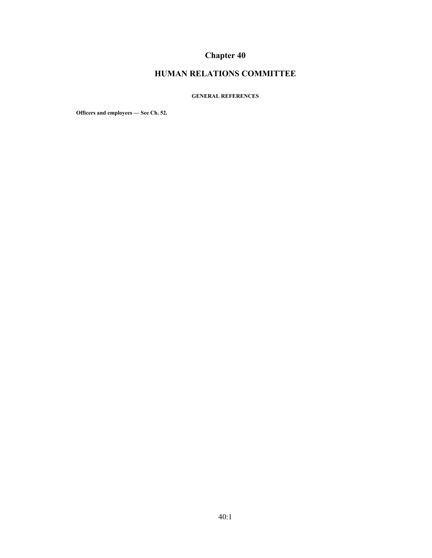# **Chapter 40**

## **HUMAN RELATIONS COMMITTEE**

#### **GENERAL REFERENCES**

**Officers and employees — See Ch. 52.**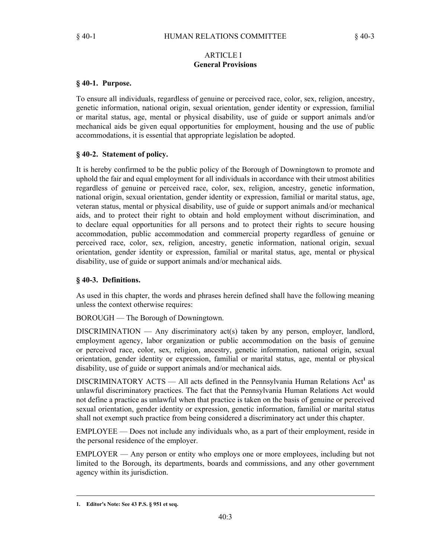### ARTICLE I **General Provisions**

## **§ 40-1. Purpose.**

To ensure all individuals, regardless of genuine or perceived race, color, sex, religion, ancestry, genetic information, national origin, sexual orientation, gender identity or expression, familial or marital status, age, mental or physical disability, use of guide or support animals and/or mechanical aids be given equal opportunities for employment, housing and the use of public accommodations, it is essential that appropriate legislation be adopted.

## **§ 40-2. Statement of policy.**

It is hereby confirmed to be the public policy of the Borough of Downingtown to promote and uphold the fair and equal employment for all individuals in accordance with their utmost abilities regardless of genuine or perceived race, color, sex, religion, ancestry, genetic information, national origin, sexual orientation, gender identity or expression, familial or marital status, age, veteran status, mental or physical disability, use of guide or support animals and/or mechanical aids, and to protect their right to obtain and hold employment without discrimination, and to declare equal opportunities for all persons and to protect their rights to secure housing accommodation, public accommodation and commercial property regardless of genuine or perceived race, color, sex, religion, ancestry, genetic information, national origin, sexual orientation, gender identity or expression, familial or marital status, age, mental or physical disability, use of guide or support animals and/or mechanical aids.

## **§ 40-3. Definitions.**

As used in this chapter, the words and phrases herein defined shall have the following meaning unless the context otherwise requires:

BOROUGH — The Borough of Downingtown.

DISCRIMINATION — Any discriminatory act(s) taken by any person, employer, landlord, employment agency, labor organization or public accommodation on the basis of genuine or perceived race, color, sex, religion, ancestry, genetic information, national origin, sexual orientation, gender identity or expression, familial or marital status, age, mental or physical disability, use of guide or support animals and/or mechanical aids.

DISCRIMINATORY ACTS — All acts defined in the Pennsylvania Human Relations Act<sup>1</sup> as unlawful discriminatory practices. The fact that the Pennsylvania Human Relations Act would not define a practice as unlawful when that practice is taken on the basis of genuine or perceived sexual orientation, gender identity or expression, genetic information, familial or marital status shall not exempt such practice from being considered a discriminatory act under this chapter.

EMPLOYEE — Does not include any individuals who, as a part of their employment, reside in the personal residence of the employer.

EMPLOYER — Any person or entity who employs one or more employees, including but not limited to the Borough, its departments, boards and commissions, and any other government agency within its jurisdiction.

**<sup>1.</sup> Editor's Note: See 43 P.S. § 951 et seq.**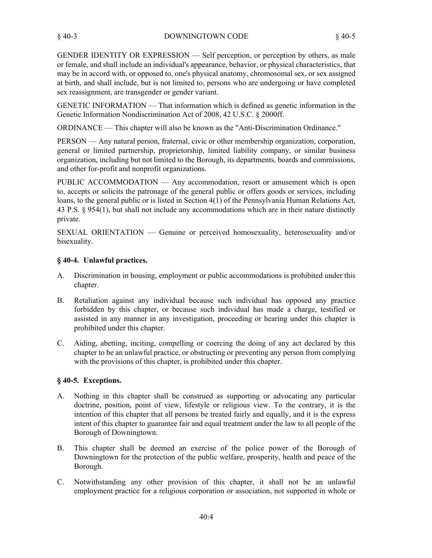GENDER IDENTITY OR EXPRESSION — Self perception, or perception by others, as male or female, and shall include an individual's appearance, behavior, or physical characteristics, that may be in accord with, or opposed to, one's physical anatomy, chromosomal sex, or sex assigned at birth, and shall include, but is not limited to, persons who are undergoing or have completed sex reassignment, are transgender or gender variant.

GENETIC INFORMATION — That information which is defined as genetic information in the Genetic Information Nondiscrimination Act of 2008, 42 U.S.C. § 2000ff.

ORDINANCE — This chapter will also be known as the "Anti-Discrimination Ordinance."

PERSON — Any natural person, fraternal, civic or other membership organization, corporation, general or limited partnership, proprietorship, limited liability company, or similar business organization, including but not limited to the Borough, its departments, boards and commissions, and other for-profit and nonprofit organizations.

PUBLIC ACCOMMODATION — Any accommodation, resort or amusement which is open to, accepts or solicits the patronage of the general public or offers goods or services, including loans, to the general public or is listed in Section 4(1) of the Pennsylvania Human Relations Act, 43 P.S. § 954(1), but shall not include any accommodations which are in their nature distinctly private.

SEXUAL ORIENTATION — Genuine or perceived homosexuality, heterosexuality and/or bisexuality.

## **§ 40-4. Unlawful practices.**

- Discrimination in housing, employment or public accommodations is prohibited under this chapter. A.
- Retaliation against any individual because such individual has opposed any practice forbidden by this chapter, or because such individual has made a charge, testified or assisted in any manner in any investigation, proceeding or hearing under this chapter is prohibited under this chapter. B.
- Aiding, abetting, inciting, compelling or coercing the doing of any act declared by this chapter to be an unlawful practice, or obstructing or preventing any person from complying with the provisions of this chapter, is prohibited under this chapter. C.

### **§ 40-5. Exceptions.**

- Nothing in this chapter shall be construed as supporting or advocating any particular doctrine, position, point of view, lifestyle or religious view. To the contrary, it is the intention of this chapter that all persons be treated fairly and equally, and it is the express intent of this chapter to guarantee fair and equal treatment under the law to all people of the Borough of Downingtown. A.
- This chapter shall be deemed an exercise of the police power of the Borough of Downingtown for the protection of the public welfare, prosperity, health and peace of the Borough. B.
- Notwithstanding any other provision of this chapter, it shall not be an unlawful employment practice for a religious corporation or association, not supported in whole or C.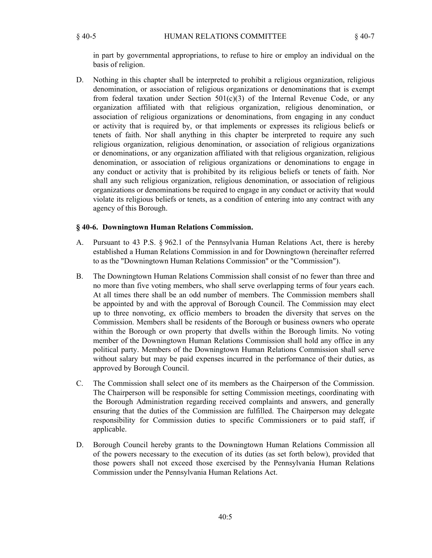in part by governmental appropriations, to refuse to hire or employ an individual on the basis of religion.

Nothing in this chapter shall be interpreted to prohibit a religious organization, religious denomination, or association of religious organizations or denominations that is exempt from federal taxation under Section  $501(c)(3)$  of the Internal Revenue Code, or any organization affiliated with that religious organization, religious denomination, or association of religious organizations or denominations, from engaging in any conduct or activity that is required by, or that implements or expresses its religious beliefs or tenets of faith. Nor shall anything in this chapter be interpreted to require any such religious organization, religious denomination, or association of religious organizations or denominations, or any organization affiliated with that religious organization, religious denomination, or association of religious organizations or denominations to engage in any conduct or activity that is prohibited by its religious beliefs or tenets of faith. Nor shall any such religious organization, religious denomination, or association of religious organizations or denominations be required to engage in any conduct or activity that would violate its religious beliefs or tenets, as a condition of entering into any contract with any agency of this Borough. D.

#### **§ 40-6. Downingtown Human Relations Commission.**

- Pursuant to 43 P.S. § 962.1 of the Pennsylvania Human Relations Act, there is hereby established a Human Relations Commission in and for Downingtown (hereinafter referred to as the "Downingtown Human Relations Commission" or the "Commission"). A.
- The Downingtown Human Relations Commission shall consist of no fewer than three and no more than five voting members, who shall serve overlapping terms of four years each. At all times there shall be an odd number of members. The Commission members shall be appointed by and with the approval of Borough Council. The Commission may elect up to three nonvoting, ex officio members to broaden the diversity that serves on the Commission. Members shall be residents of the Borough or business owners who operate within the Borough or own property that dwells within the Borough limits. No voting member of the Downingtown Human Relations Commission shall hold any office in any political party. Members of the Downingtown Human Relations Commission shall serve without salary but may be paid expenses incurred in the performance of their duties, as approved by Borough Council. B.
- The Commission shall select one of its members as the Chairperson of the Commission. The Chairperson will be responsible for setting Commission meetings, coordinating with the Borough Administration regarding received complaints and answers, and generally ensuring that the duties of the Commission are fulfilled. The Chairperson may delegate responsibility for Commission duties to specific Commissioners or to paid staff, if applicable. C.
- Borough Council hereby grants to the Downingtown Human Relations Commission all of the powers necessary to the execution of its duties (as set forth below), provided that those powers shall not exceed those exercised by the Pennsylvania Human Relations Commission under the Pennsylvania Human Relations Act. D.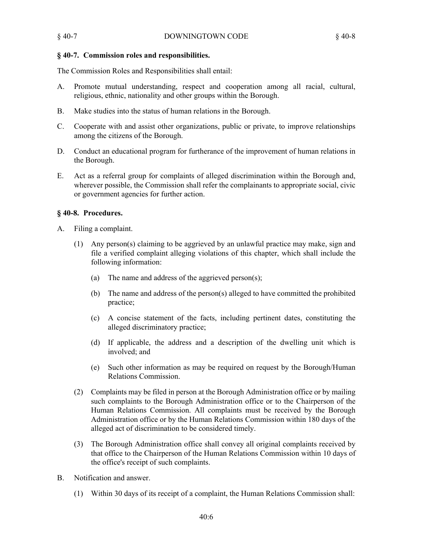### **§ 40-7. Commission roles and responsibilities.**

The Commission Roles and Responsibilities shall entail:

- Promote mutual understanding, respect and cooperation among all racial, cultural, religious, ethnic, nationality and other groups within the Borough.  $A<sub>1</sub>$
- B. Make studies into the status of human relations in the Borough.
- Cooperate with and assist other organizations, public or private, to improve relationships among the citizens of the Borough. C.
- Conduct an educational program for furtherance of the improvement of human relations in the Borough. D.
- Act as a referral group for complaints of alleged discrimination within the Borough and, wherever possible, the Commission shall refer the complainants to appropriate social, civic or government agencies for further action. E.

### **§ 40-8. Procedures.**

- Filing a complaint. A.
	- Any person(s) claiming to be aggrieved by an unlawful practice may make, sign and (1) file a verified complaint alleging violations of this chapter, which shall include the following information:
		- (a) The name and address of the aggrieved person(s);
		- The name and address of the person(s) alleged to have committed the prohibited (b) practice;
		- A concise statement of the facts, including pertinent dates, constituting the (c) alleged discriminatory practice;
		- (d) If applicable, the address and a description of the dwelling unit which is involved; and
		- Such other information as may be required on request by the Borough/Human (e) Relations Commission.
	- Complaints may be filed in person at the Borough Administration office or by mailing (2) such complaints to the Borough Administration office or to the Chairperson of the Human Relations Commission. All complaints must be received by the Borough Administration office or by the Human Relations Commission within 180 days of the alleged act of discrimination to be considered timely.
	- (3) The Borough Administration office shall convey all original complaints received by that office to the Chairperson of the Human Relations Commission within 10 days of the office's receipt of such complaints.
- Notification and answer. B.
	- (1) Within 30 days of its receipt of a complaint, the Human Relations Commission shall: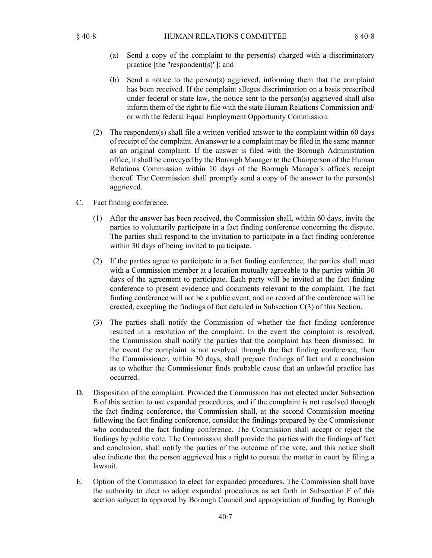- Send a copy of the complaint to the person(s) charged with a discriminatory (a) practice [the "respondent(s)"]; and
- (b) Send a notice to the person(s) aggrieved, informing them that the complaint has been received. If the complaint alleges discrimination on a basis prescribed under federal or state law, the notice sent to the person(s) aggrieved shall also inform them of the right to file with the state Human Relations Commission and/ or with the federal Equal Employment Opportunity Commission.
- The respondent(s) shall file a written verified answer to the complaint within 60 days (2) of receipt of the complaint. An answer to a complaint may be filed in the same manner as an original complaint. If the answer is filed with the Borough Administration office, it shall be conveyed by the Borough Manager to the Chairperson of the Human Relations Commission within 10 days of the Borough Manager's office's receipt thereof. The Commission shall promptly send a copy of the answer to the person(s) aggrieved.
- Fact finding conference. C.
	- After the answer has been received, the Commission shall, within 60 days, invite the (1) parties to voluntarily participate in a fact finding conference concerning the dispute. The parties shall respond to the invitation to participate in a fact finding conference within 30 days of being invited to participate.
	- (2) If the parties agree to participate in a fact finding conference, the parties shall meet with a Commission member at a location mutually agreeable to the parties within 30 days of the agreement to participate. Each party will be invited at the fact finding conference to present evidence and documents relevant to the complaint. The fact finding conference will not be a public event, and no record of the conference will be created, excepting the findings of fact detailed in Subsection C(3) of this Section.
	- (3) The parties shall notify the Commission of whether the fact finding conference resulted in a resolution of the complaint. In the event the complaint is resolved, the Commission shall notify the parties that the complaint has been dismissed. In the event the complaint is not resolved through the fact finding conference, then the Commissioner, within 30 days, shall prepare findings of fact and a conclusion as to whether the Commissioner finds probable cause that an unlawful practice has occurred.
- Disposition of the complaint. Provided the Commission has not elected under Subsection E of this section to use expanded procedures, and if the complaint is not resolved through the fact finding conference, the Commission shall, at the second Commission meeting following the fact finding conference, consider the findings prepared by the Commissioner who conducted the fact finding conference. The Commission shall accept or reject the findings by public vote. The Commission shall provide the parties with the findings of fact and conclusion, shall notify the parties of the outcome of the vote, and this notice shall also indicate that the person aggrieved has a right to pursue the matter in court by filing a lawsuit. D.
- Option of the Commission to elect for expanded procedures. The Commission shall have the authority to elect to adopt expanded procedures as set forth in Subsection F of this section subject to approval by Borough Council and appropriation of funding by Borough E.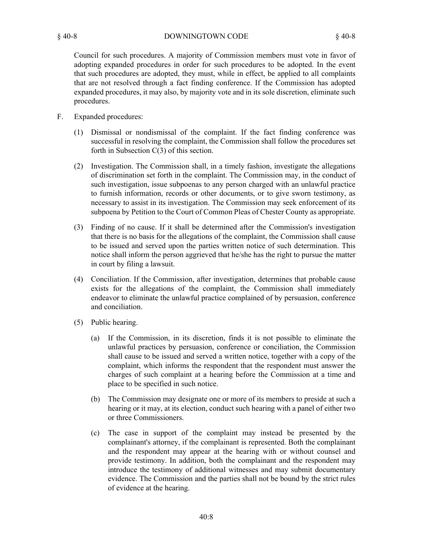Council for such procedures. A majority of Commission members must vote in favor of adopting expanded procedures in order for such procedures to be adopted. In the event that such procedures are adopted, they must, while in effect, be applied to all complaints that are not resolved through a fact finding conference. If the Commission has adopted expanded procedures, it may also, by majority vote and in its sole discretion, eliminate such procedures.

- Expanded procedures: F.
	- Dismissal or nondismissal of the complaint. If the fact finding conference was (1) successful in resolving the complaint, the Commission shall follow the procedures set forth in Subsection C(3) of this section.
	- (2) Investigation. The Commission shall, in a timely fashion, investigate the allegations of discrimination set forth in the complaint. The Commission may, in the conduct of such investigation, issue subpoenas to any person charged with an unlawful practice to furnish information, records or other documents, or to give sworn testimony, as necessary to assist in its investigation. The Commission may seek enforcement of its subpoena by Petition to the Court of Common Pleas of Chester County as appropriate.
	- Finding of no cause. If it shall be determined after the Commission's investigation (3) that there is no basis for the allegations of the complaint, the Commission shall cause to be issued and served upon the parties written notice of such determination. This notice shall inform the person aggrieved that he/she has the right to pursue the matter in court by filing a lawsuit.
	- Conciliation. If the Commission, after investigation, determines that probable cause (4) exists for the allegations of the complaint, the Commission shall immediately endeavor to eliminate the unlawful practice complained of by persuasion, conference and conciliation.
	- (5) Public hearing.
		- (a) If the Commission, in its discretion, finds it is not possible to eliminate the unlawful practices by persuasion, conference or conciliation, the Commission shall cause to be issued and served a written notice, together with a copy of the complaint, which informs the respondent that the respondent must answer the charges of such complaint at a hearing before the Commission at a time and place to be specified in such notice.
		- (b) The Commission may designate one or more of its members to preside at such a hearing or it may, at its election, conduct such hearing with a panel of either two or three Commissioners.
		- The case in support of the complaint may instead be presented by the complainant's attorney, if the complainant is represented. Both the complainant and the respondent may appear at the hearing with or without counsel and provide testimony. In addition, both the complainant and the respondent may introduce the testimony of additional witnesses and may submit documentary evidence. The Commission and the parties shall not be bound by the strict rules of evidence at the hearing. (c)